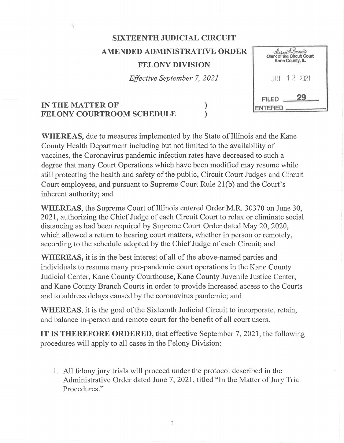## **SIXTEENTH JUDICIAL CIRCUIT AMENDED ADMINISTRATIVE ORDER FELONY DIVISION**

*Effective September* 7, *2021* 

) )

| <i>Alerca Bancer</i><br>Clork of the Circuit Court<br>Kane County, IL |  |  |  |
|-----------------------------------------------------------------------|--|--|--|
| <b>JUL 12 2021</b>                                                    |  |  |  |
| <b>FILED</b><br><b>ENTERED</b>                                        |  |  |  |

## **IN THE MATTER OF FELONY COURTROOM SCHEDULE**

**WHEREAS,** due to measures implemented by the State of Illinois and the Kane County Health Department including but not limited to the availability of vaccines, the Coronavirus pandemic infection rates have decreased to such a degree that many Court Operations which have been modified may resume while still protecting the health and safety of the public, Circuit Court Judges and Circuit Court employees, and pursuant to Supreme Court Rule 21(b) and the Court's inherent authority; and

**WHEREAS,** the Supreme Court of Illinois entered Order M.R. 30370 on June 30, 2021, authorizing the Chief Judge of each Circuit Court to relax or eliminate social distancing as had been required by Supreme Court Order dated May 20, 2020, which allowed a return to hearing court matters, whether in person or remotely, according to the schedule adopted by the Chief Judge of each Circuit; and

**WHEREAS,** it is in the best interest of all of the above-named parties and individuals to resume many pre-pandemic court operations in the Kane County Judicial Center, Kane County Courthouse, Kane County Juvenile Justice Center, and Kane County Branch Courts in order to provide increased access to the Courts and to address delays caused by the coronavirus pandemic; and

**WHEREAS,** it is the goal of the Sixteenth Judicial Circuit to incorporate, retain, and balance in-person and remote court for the benefit of all court users.

**IT IS THEREFORE ORDERED,** that effective September 7, 2021, the following procedures will apply to all cases in the Felony Division:

1. All felony jury trials will proceed under the protocol described in the Administrative Order dated June 7, 2021, titled "In the Matter of Jury Trial Procedures."